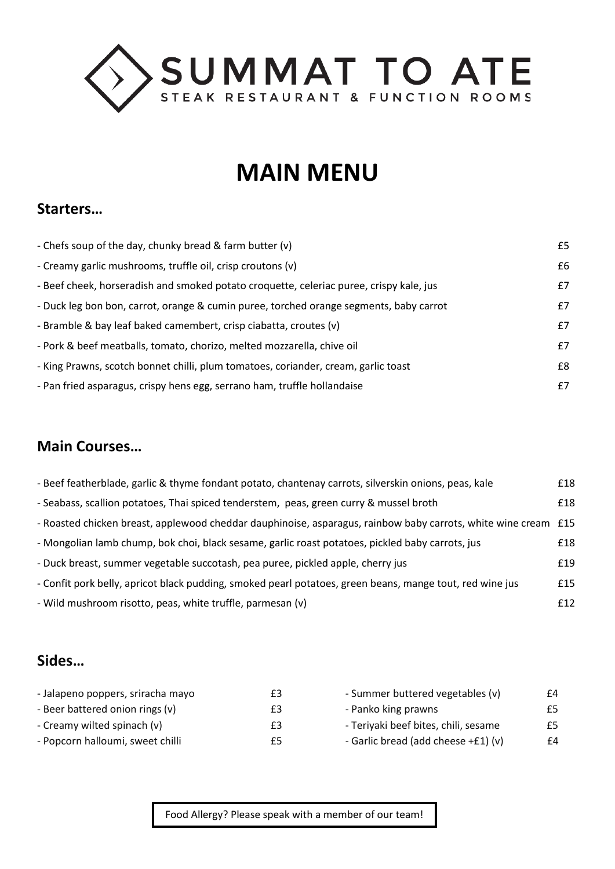

# **MAIN MENU**

#### **Starters…**

| - Chefs soup of the day, chunky bread & farm butter (v)                                 | £5 |
|-----------------------------------------------------------------------------------------|----|
| - Creamy garlic mushrooms, truffle oil, crisp croutons (v)                              | £6 |
| - Beef cheek, horseradish and smoked potato croquette, celeriac puree, crispy kale, jus | £7 |
| - Duck leg bon bon, carrot, orange & cumin puree, torched orange segments, baby carrot  | £7 |
| - Bramble & bay leaf baked camembert, crisp ciabatta, croutes (v)                       | £7 |
| - Pork & beef meatballs, tomato, chorizo, melted mozzarella, chive oil                  | £7 |
| - King Prawns, scotch bonnet chilli, plum tomatoes, coriander, cream, garlic toast      | £8 |
| - Pan fried asparagus, crispy hens egg, serrano ham, truffle hollandaise                | £7 |

# **Main Courses…**

| - Beef featherblade, garlic & thyme fondant potato, chantenay carrots, silverskin onions, peas, kale           | £18 |
|----------------------------------------------------------------------------------------------------------------|-----|
| - Seabass, scallion potatoes, Thai spiced tenderstem, peas, green curry & mussel broth                         | £18 |
| - Roasted chicken breast, applewood cheddar dauphinoise, asparagus, rainbow baby carrots, white wine cream £15 |     |
| - Mongolian lamb chump, bok choi, black sesame, garlic roast potatoes, pickled baby carrots, jus               | £18 |
| - Duck breast, summer vegetable succotash, pea puree, pickled apple, cherry jus                                | £19 |
| - Confit pork belly, apricot black pudding, smoked pearl potatoes, green beans, mange tout, red wine jus       | £15 |
| - Wild mushroom risotto, peas, white truffle, parmesan (v)                                                     | f12 |

### **Sides…**

| £3 | - Summer buttered vegetables (v)     | £4 |
|----|--------------------------------------|----|
| £3 | - Panko king prawns                  | £5 |
| £3 | - Teriyaki beef bites, chili, sesame | £5 |
| £5 | - Garlic bread (add cheese +£1) (v)  | £4 |
|    |                                      |    |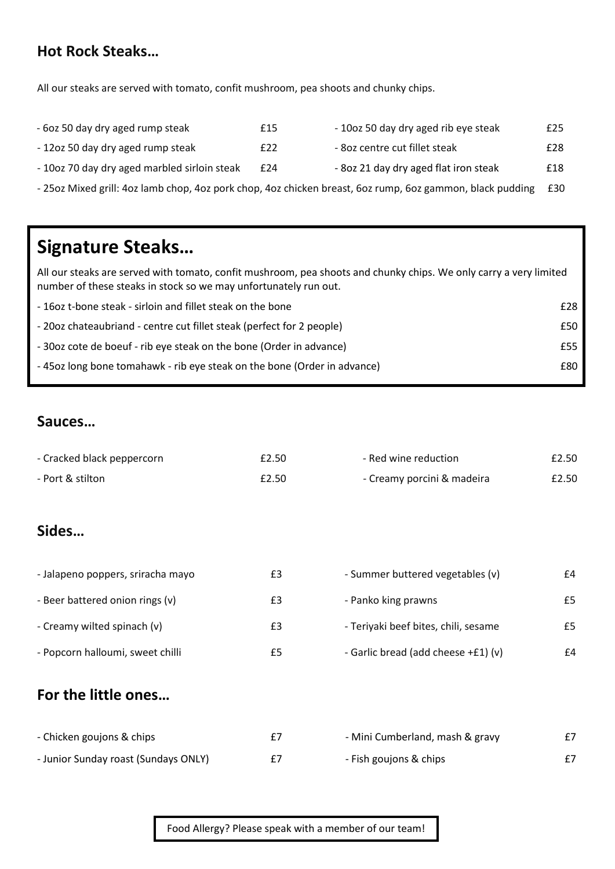### **Hot Rock Steaks…**

All our steaks are served with tomato, confit mushroom, pea shoots and chunky chips.

| - 6oz 50 day dry aged rump steak             | £15 | - 10oz 50 day dry aged rib eye steak  | £25 |
|----------------------------------------------|-----|---------------------------------------|-----|
| - 12oz 50 day dry aged rump steak            | £22 | - 80z centre cut fillet steak         | £28 |
| - 10oz 70 day dry aged marbled sirloin steak | £24 | - 80z 21 day dry aged flat iron steak | £18 |

- 25oz Mixed grill: 4oz lamb chop, 4oz pork chop, 4oz chicken breast, 6oz rump, 6oz gammon, black pudding £30

# **Signature Steaks…**

All our steaks are served with tomato, confit mushroom, pea shoots and chunky chips. We only carry a very limited number of these steaks in stock so we may unfortunately run out.

| -160z t-bone steak - sirloin and fillet steak on the bone               | £28 |
|-------------------------------------------------------------------------|-----|
| -2002 chateaubriand - centre cut fillet steak (perfect for 2 people)    | £50 |
| -30oz cote de boeuf - rib eye steak on the bone (Order in advance)      | £55 |
| -45oz long bone tomahawk - rib eye steak on the bone (Order in advance) | £80 |

### **Sauces…**

| - Cracked black peppercorn           | £2.50 | - Red wine reduction                 | £2.50 |
|--------------------------------------|-------|--------------------------------------|-------|
| - Port & stilton                     | £2.50 | - Creamy porcini & madeira           | £2.50 |
|                                      |       |                                      |       |
| Sides                                |       |                                      |       |
|                                      |       |                                      |       |
| - Jalapeno poppers, sriracha mayo    | £3    | - Summer buttered vegetables (v)     | £4    |
| - Beer battered onion rings (v)      | £3    | - Panko king prawns                  | £5    |
| - Creamy wilted spinach (v)          | £3    | - Teriyaki beef bites, chili, sesame | £5    |
| - Popcorn halloumi, sweet chilli     | £5    | - Garlic bread (add cheese +£1) (v)  | £4    |
|                                      |       |                                      |       |
| For the little ones                  |       |                                      |       |
|                                      |       |                                      |       |
| - Chicken goujons & chips            | £7    | - Mini Cumberland, mash & gravy      | £7    |
| - Junior Sunday roast (Sundays ONLY) | £7    | - Fish goujons & chips               | £7    |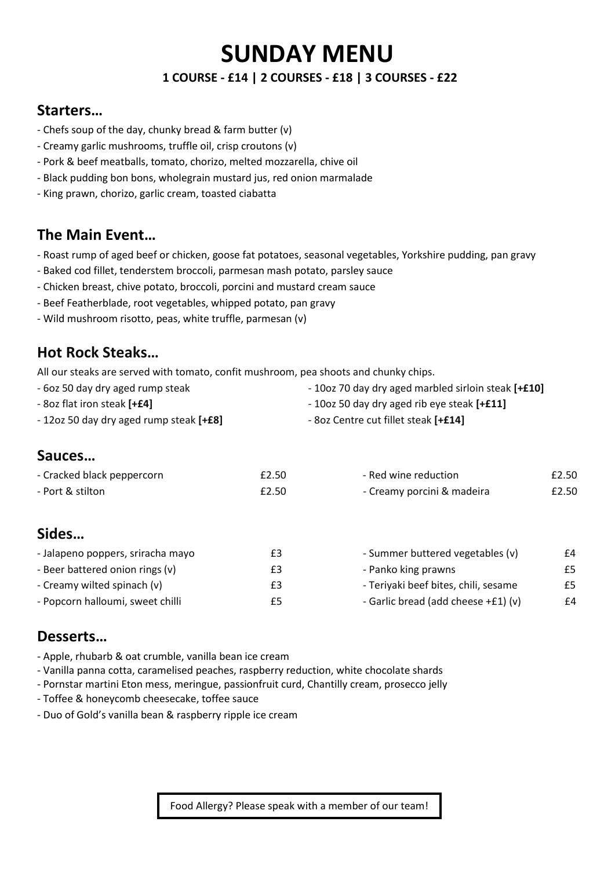# **SUNDAY MENU**

#### **1 COURSE - £14 | 2 COURSES - £18 | 3 COURSES - £22**

### **Starters…**

- Chefs soup of the day, chunky bread & farm butter (v)
- Creamy garlic mushrooms, truffle oil, crisp croutons (v)
- Pork & beef meatballs, tomato, chorizo, melted mozzarella, chive oil
- Black pudding bon bons, wholegrain mustard jus, red onion marmalade
- King prawn, chorizo, garlic cream, toasted ciabatta

# **The Main Event…**

- Roast rump of aged beef or chicken, goose fat potatoes, seasonal vegetables, Yorkshire pudding, pan gravy
- Baked cod fillet, tenderstem broccoli, parmesan mash potato, parsley sauce
- Chicken breast, chive potato, broccoli, porcini and mustard cream sauce
- Beef Featherblade, root vegetables, whipped potato, pan gravy
- Wild mushroom risotto, peas, white truffle, parmesan (v)

### **Hot Rock Steaks…**

All our steaks are served with tomato, confit mushroom, pea shoots and chunky chips.

| - 60z 50 day dry aged rump steak        | - 10oz 70 day dry aged marbled sirloin steak [+£10] |
|-----------------------------------------|-----------------------------------------------------|
| - 8oz flat iron steak [+£4]             | - 10oz 50 day dry aged rib eye steak [+£11]         |
| - 12oz 50 day dry aged rump steak [+£8] | - 8oz Centre cut fillet steak [+£14]                |

### **Sauces…**

| - Cracked black peppercorn | £2.50 | - Red wine reduction       | £2.50 |
|----------------------------|-------|----------------------------|-------|
| - Port & stilton           | £2.50 | - Creamy porcini & madeira | £2.50 |
|                            |       |                            |       |
|                            |       |                            |       |

# **Sides…**

| - Jalapeno poppers, sriracha mayo | £3 | - Summer buttered vegetables (v)     | £4 |
|-----------------------------------|----|--------------------------------------|----|
| - Beer battered onion rings (v)   | £3 | - Panko king prawns                  | £5 |
| - Creamy wilted spinach (v)       | £3 | - Teriyaki beef bites, chili, sesame | £5 |
| - Popcorn halloumi, sweet chilli  | £5 | - Garlic bread (add cheese +£1) (v)  | £4 |

### **Desserts…**

- Apple, rhubarb & oat crumble, vanilla bean ice cream
- Vanilla panna cotta, caramelised peaches, raspberry reduction, white chocolate shards
- Pornstar martini Eton mess, meringue, passionfruit curd, Chantilly cream, prosecco jelly
- Toffee & honeycomb cheesecake, toffee sauce
- Duo of Gold's vanilla bean & raspberry ripple ice cream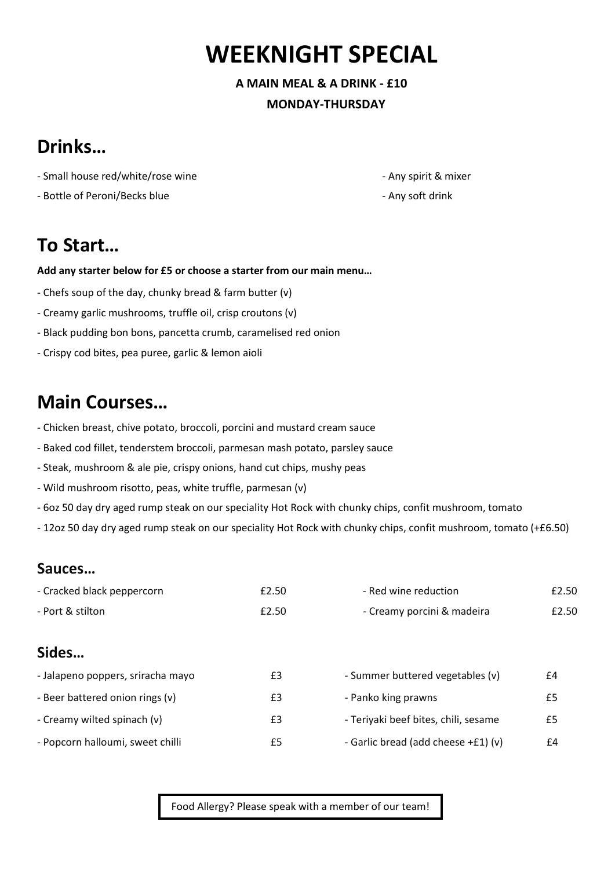# **WEEKNIGHT SPECIAL**

**A MAIN MEAL & A DRINK - £10 MONDAY-THURSDAY** 

# **Drinks…**

- Small house red/white/rose wine - Any spirit & mixer

- Bottle of Peroni/Becks blue - Any soft drink

# **To Start…**

#### **Add any starter below for £5 or choose a starter from our main menu…**

- Chefs soup of the day, chunky bread & farm butter (v)
- Creamy garlic mushrooms, truffle oil, crisp croutons (v)
- Black pudding bon bons, pancetta crumb, caramelised red onion
- Crispy cod bites, pea puree, garlic & lemon aioli

# **Main Courses…**

- Chicken breast, chive potato, broccoli, porcini and mustard cream sauce
- Baked cod fillet, tenderstem broccoli, parmesan mash potato, parsley sauce
- Steak, mushroom & ale pie, crispy onions, hand cut chips, mushy peas
- Wild mushroom risotto, peas, white truffle, parmesan (v)
- 6oz 50 day dry aged rump steak on our speciality Hot Rock with chunky chips, confit mushroom, tomato
- 12oz 50 day dry aged rump steak on our speciality Hot Rock with chunky chips, confit mushroom, tomato (+£6.50)

### **Sauces…**

| - Cracked black peppercorn        | £2.50 | - Red wine reduction                 | £2.50 |
|-----------------------------------|-------|--------------------------------------|-------|
| - Port & stilton                  | £2.50 | - Creamy porcini & madeira           | £2.50 |
| Sides                             |       |                                      |       |
| - Jalapeno poppers, sriracha mayo | £3    | - Summer buttered vegetables (v)     | £4    |
| - Beer battered onion rings (v)   | £3    | - Panko king prawns                  | £5    |
| - Creamy wilted spinach (v)       | £3    | - Teriyaki beef bites, chili, sesame | £5    |
| - Popcorn halloumi, sweet chilli  | £5    | - Garlic bread (add cheese +£1) (v)  | £4    |